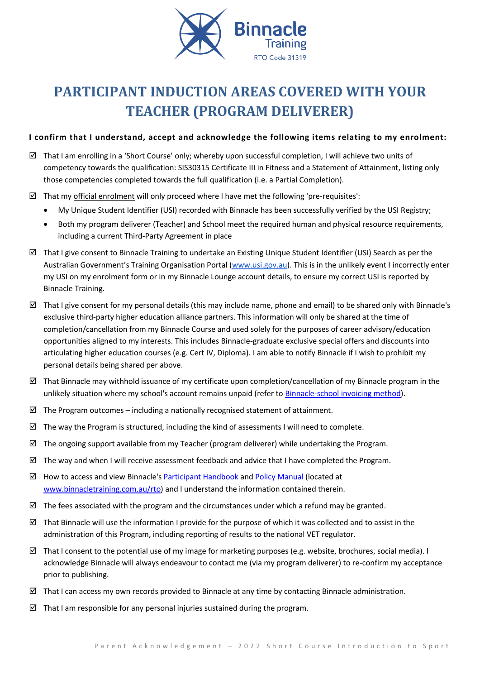

# **PARTICIPANT INDUCTION AREAS COVERED WITH YOUR TEACHER (PROGRAM DELIVERER)**

# **I confirm that I understand, accept and acknowledge the following items relating to my enrolment:**

- $\boxtimes$  That I am enrolling in a 'Short Course' only; whereby upon successful completion, I will achieve two units of competency towards the qualification: SIS30315 Certificate III in Fitness and a Statement of Attainment, listing only those competencies completed towards the full qualification (i.e. a Partial Completion).
- $\boxtimes$  That my official enrolment will only proceed where I have met the following 'pre-requisites':
	- My Unique Student Identifier (USI) recorded with Binnacle has been successfully verified by the USI Registry;
	- Both my program deliverer (Teacher) and School meet the required human and physical resource requirements, including a current Third-Party Agreement in place
- $\boxtimes$  That I give consent to Binnacle Training to undertake an Existing Unique Student Identifier (USI) Search as per the Australian Government's Training Organisation Portal ([www.usi.gov.au\)](http://www.usi.gov.au/). This is in the unlikely event I incorrectly enter my USI on my enrolment form or in my Binnacle Lounge account details, to ensure my correct USI is reported by Binnacle Training.
- That I give consent for my personal details (this may include name, phone and email) to be shared only with Binnacle's exclusive third-party higher education alliance partners. This information will only be shared at the time of completion/cancellation from my Binnacle Course and used solely for the purposes of career advisory/education opportunities aligned to my interests. This includes Binnacle-graduate exclusive special offers and discounts into articulating higher education courses (e.g. Cert IV, Diploma). I am able to notify Binnacle if I wish to prohibit my personal details being shared per above.
- $\boxtimes$  That Binnacle may withhold issuance of my certificate upon completion/cancellation of my Binnacle program in the unlikely situation where my school's account remains unpaid (refer t[o Binnacle-school invoicing method\)](http://www.binnacletraining.com.au/services-pricing.php).
- $\boxtimes$  The Program outcomes including a nationally recognised statement of attainment.
- $\boxtimes$  The way the Program is structured, including the kind of assessments I will need to complete.
- $\boxtimes$  The ongoing support available from my Teacher (program deliverer) while undertaking the Program.
- $\boxtimes$  The way and when I will receive assessment feedback and advice that I have completed the Program.
- $\boxtimes$  How to access and view Binnacle's [Participant Handbook](http://www.binnacletraining.com.au/rto.php) an[d Policy Manual](http://www.binnacletraining.com.au/rto.php) (located at [www.binnacletraining.com.au/rto\)](http://www.binnacletraining.com.au/rto) and I understand the information contained therein.
- $\boxtimes$  The fees associated with the program and the circumstances under which a refund may be granted.
- That Binnacle will use the information I provide for the purpose of which it was collected and to assist in the administration of this Program, including reporting of results to the national VET regulator.
- $\boxtimes$  That I consent to the potential use of my image for marketing purposes (e.g. website, brochures, social media). I acknowledge Binnacle will always endeavour to contact me (via my program deliverer) to re-confirm my acceptance prior to publishing.
- $\boxtimes$  That I can access my own records provided to Binnacle at any time by contacting Binnacle administration.
- $\boxtimes$  That I am responsible for any personal injuries sustained during the program.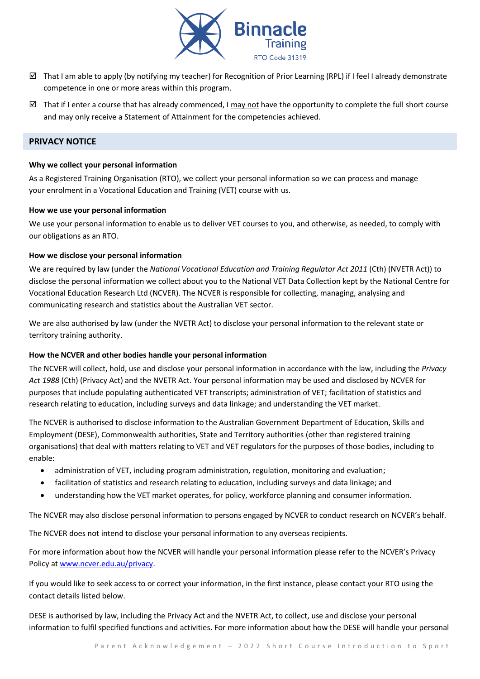

- $\boxtimes$  That I am able to apply (by notifying my teacher) for Recognition of Prior Learning (RPL) if I feel I already demonstrate competence in one or more areas within this program.
- That if I enter a course that has already commenced, I may not have the opportunity to complete the full short course and may only receive a Statement of Attainment for the competencies achieved.

# **PRIVACY NOTICE**

#### **Why we collect your personal information**

As a Registered Training Organisation (RTO), we collect your personal information so we can process and manage your enrolment in a Vocational Education and Training (VET) course with us.

#### **How we use your personal information**

We use your personal information to enable us to deliver VET courses to you, and otherwise, as needed, to comply with our obligations as an RTO.

### **How we disclose your personal information**

We are required by law (under the *National Vocational Education and Training Regulator Act 2011* (Cth) (NVETR Act)) to disclose the personal information we collect about you to the National VET Data Collection kept by the National Centre for Vocational Education Research Ltd (NCVER). The NCVER is responsible for collecting, managing, analysing and communicating research and statistics about the Australian VET sector.

We are also authorised by law (under the NVETR Act) to disclose your personal information to the relevant state or territory training authority.

## **How the NCVER and other bodies handle your personal information**

The NCVER will collect, hold, use and disclose your personal information in accordance with the law, including the *Privacy Act 1988* (Cth) (Privacy Act) and the NVETR Act. Your personal information may be used and disclosed by NCVER for purposes that include populating authenticated VET transcripts; administration of VET; facilitation of statistics and research relating to education, including surveys and data linkage; and understanding the VET market.

The NCVER is authorised to disclose information to the Australian Government Department of Education, Skills and Employment (DESE), Commonwealth authorities, State and Territory authorities (other than registered training organisations) that deal with matters relating to VET and VET regulators for the purposes of those bodies, including to enable:

- administration of VET, including program administration, regulation, monitoring and evaluation;
- facilitation of statistics and research relating to education, including surveys and data linkage; and
- understanding how the VET market operates, for policy, workforce planning and consumer information.

The NCVER may also disclose personal information to persons engaged by NCVER to conduct research on NCVER's behalf.

The NCVER does not intend to disclose your personal information to any overseas recipients.

For more information about how the NCVER will handle your personal information please refer to the NCVER's Privacy Policy at [www.ncver.edu.au/privacy.](http://www.ncver.edu.au/privacy)

If you would like to seek access to or correct your information, in the first instance, please contact your RTO using the contact details listed below.

DESE is authorised by law, including the Privacy Act and the NVETR Act, to collect, use and disclose your personal information to fulfil specified functions and activities. For more information about how the DESE will handle your personal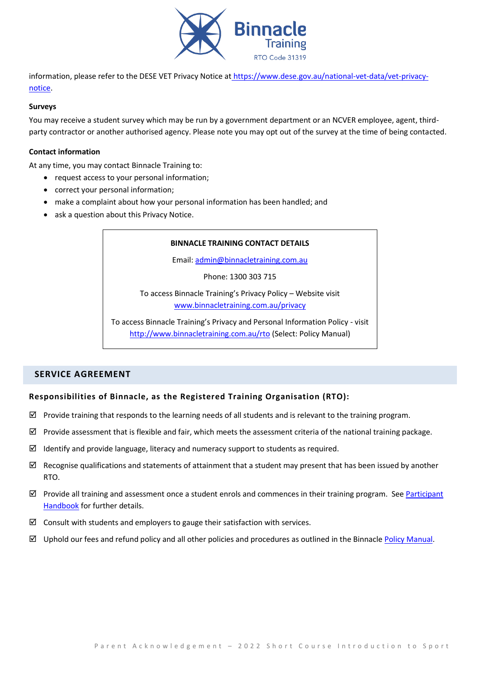

information, please refer to the DESE VET Privacy Notice at [https://www.dese.gov.au/national-vet-data/vet-privacy](https://www.dese.gov.au/national-vet-data/vet-privacy-notice)[notice.](https://www.dese.gov.au/national-vet-data/vet-privacy-notice)

#### **Surveys**

You may receive a student survey which may be run by a government department or an NCVER employee, agent, thirdparty contractor or another authorised agency. Please note you may opt out of the survey at the time of being contacted.

### **Contact information**

At any time, you may contact Binnacle Training to:

- request access to your personal information;
- correct your personal information;
- make a complaint about how your personal information has been handled; and
- ask a question about this Privacy Notice.

### **BINNACLE TRAINING CONTACT DETAILS**

Email: [admin@binnacletraining.com.au](mailto:admin@binnacletraining.com.au)

Phone: 1300 303 715

To access Binnacle Training's Privacy Policy – Website visit [www.binnacletraining.com.au/privacy](http://www.binnacletraining.com.au/privacy)

To access Binnacle Training's Privacy and Personal Information Policy - visit <http://www.binnacletraining.com.au/rto> (Select: Policy Manual)

# **SERVICE AGREEMENT**

## **Responsibilities of Binnacle, as the Registered Training Organisation (RTO):**

- $\boxtimes$  Provide training that responds to the learning needs of all students and is relevant to the training program.
- $\boxtimes$  Provide assessment that is flexible and fair, which meets the assessment criteria of the national training package.
- $\boxtimes$  Identify and provide language, literacy and numeracy support to students as required.
- $\boxtimes$  Recognise qualifications and statements of attainment that a student may present that has been issued by another RTO.
- $\boxtimes$  Provide all training and assessment once a student enrols and commences in their training program. See Participant [Handbook](http://www.binnacletraining.com.au/rto.php) for further details.
- $\boxtimes$  Consult with students and employers to gauge their satisfaction with services.
- $\boxtimes$  Uphold our fees and refund policy and all other policies and procedures as outlined in the Binnacle [Policy Manual.](http://www.binnacletraining.com.au/rto.php)